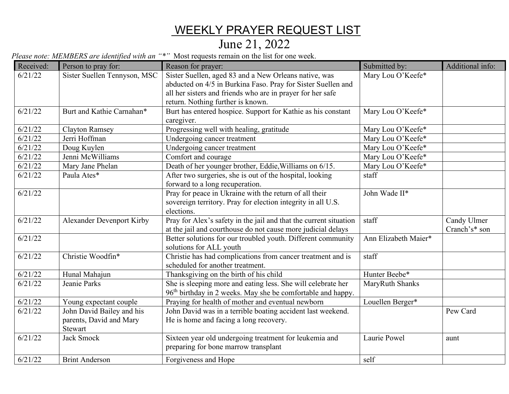## WEEKLY PRAYER REQUEST LIST

## June 21, 2022

*Please note: MEMBERS are identified with an "\*"* Most requests remain on the list for one week.

| Received: | Person to pray for:                | Reason for prayer:                                                                                                                      | Submitted by:        | Additional info: |
|-----------|------------------------------------|-----------------------------------------------------------------------------------------------------------------------------------------|----------------------|------------------|
| 6/21/22   | Sister Suellen Tennyson, MSC       | Sister Suellen, aged 83 and a New Orleans native, was                                                                                   | Mary Lou O'Keefe*    |                  |
|           |                                    | abducted on 4/5 in Burkina Faso. Pray for Sister Suellen and                                                                            |                      |                  |
|           |                                    | all her sisters and friends who are in prayer for her safe                                                                              |                      |                  |
|           |                                    | return. Nothing further is known.                                                                                                       |                      |                  |
| 6/21/22   | Burt and Kathie Carnahan*          | Burt has entered hospice. Support for Kathie as his constant<br>caregiver.                                                              | Mary Lou O'Keefe*    |                  |
| 6/21/22   | <b>Clayton Ramsey</b>              | Progressing well with healing, gratitude                                                                                                | Mary Lou O'Keefe*    |                  |
| 6/21/22   | Jerri Hoffman                      | Undergoing cancer treatment                                                                                                             | Mary Lou O'Keefe*    |                  |
| 6/21/22   | Doug Kuylen                        | Undergoing cancer treatment                                                                                                             | Mary Lou O'Keefe*    |                  |
| 6/21/22   | Jenni McWilliams                   | Comfort and courage                                                                                                                     | Mary Lou O'Keefe*    |                  |
| 6/21/22   | Mary Jane Phelan                   | Death of her younger brother, Eddie, Williams on 6/15.                                                                                  | Mary Lou O'Keefe*    |                  |
| 6/21/22   | Paula Ates*                        | After two surgeries, she is out of the hospital, looking<br>forward to a long recuperation.                                             | staff                |                  |
| 6/21/22   |                                    | Pray for peace in Ukraine with the return of all their<br>sovereign territory. Pray for election integrity in all U.S.<br>elections.    | John Wade II*        |                  |
| 6/21/22   | <b>Alexander Devenport Kirby</b>   | Pray for Alex's safety in the jail and that the current situation                                                                       | staff                | Candy Ulmer      |
|           |                                    | at the jail and courthouse do not cause more judicial delays                                                                            |                      | Cranch's* son    |
| 6/21/22   |                                    | Better solutions for our troubled youth. Different community<br>solutions for ALL youth                                                 | Ann Elizabeth Maier* |                  |
| 6/21/22   | Christie Woodfin*                  | Christie has had complications from cancer treatment and is<br>scheduled for another treatment.                                         | staff                |                  |
| 6/21/22   | Hunal Mahajun                      | Thanksgiving on the birth of his child                                                                                                  | Hunter Beebe*        |                  |
| 6/21/22   | Jeanie Parks                       | She is sleeping more and eating less. She will celebrate her<br>96 <sup>th</sup> birthday in 2 weeks. May she be comfortable and happy. | MaryRuth Shanks      |                  |
| 6/21/22   | Young expectant couple             | Praying for health of mother and eventual newborn                                                                                       | Louellen Berger*     |                  |
| 6/21/22   | John David Bailey and his          | John David was in a terrible boating accident last weekend.                                                                             |                      | Pew Card         |
|           | parents, David and Mary<br>Stewart | He is home and facing a long recovery.                                                                                                  |                      |                  |
| 6/21/22   | <b>Jack Smock</b>                  | Sixteen year old undergoing treatment for leukemia and                                                                                  | Laurie Powel         | aunt             |
|           |                                    | preparing for bone marrow transplant                                                                                                    |                      |                  |
| 6/21/22   | <b>Brint Anderson</b>              | Forgiveness and Hope                                                                                                                    | self                 |                  |